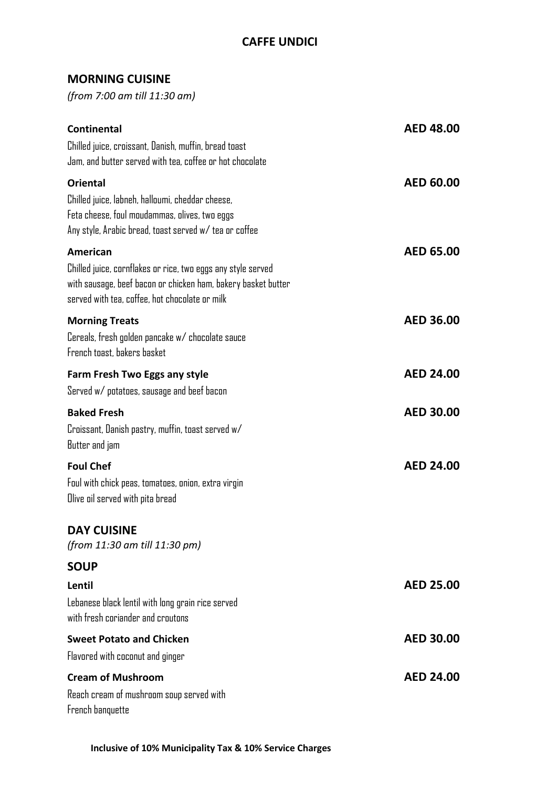## **MORNING CUISINE**

*(from 7:00 am till 11:30 am)*

| <b>Continental</b><br>Chilled juice, croissant, Danish, muffin, bread toast<br>Jam, and butter served with tea, coffee or hot chocolate                                                     | <b>AED 48.00</b> |
|---------------------------------------------------------------------------------------------------------------------------------------------------------------------------------------------|------------------|
| <b>Oriental</b><br>Chilled juice, labneh, halloumi, cheddar cheese,<br>Feta cheese, foul moudammas, olives, two eggs<br>Any style, Arabic bread, toast served w/tea or coffee               | <b>AED 60.00</b> |
| American<br>Chilled juice, cornflakes or rice, two eggs any style served<br>with sausage, beef bacon or chicken ham, bakery basket butter<br>served with tea, coffee, hot chocolate or milk | AED 65.00        |
| <b>Morning Treats</b><br>Cereals, fresh golden pancake w/ chocolate sauce<br>French toast, bakers basket                                                                                    | <b>AED 36.00</b> |
| Farm Fresh Two Eggs any style<br>Served w/ potatoes, sausage and beef bacon                                                                                                                 | <b>AED 24.00</b> |
| <b>Baked Fresh</b><br>Croissant, Danish pastry, muffin, toast served w/<br>Butter and jam                                                                                                   | <b>AED 30.00</b> |
| <b>Foul Chef</b><br>Foul with chick peas, tomatoes, onion, extra virgin<br>Olive oil served with pita bread                                                                                 | <b>AED 24.00</b> |
| <b>DAY CUISINE</b><br>(from 11:30 am till 11:30 pm)                                                                                                                                         |                  |
| <b>SOUP</b>                                                                                                                                                                                 |                  |
| Lentil<br>Lebanese black lentil with long grain rice served<br>with fresh coriander and croutons                                                                                            | <b>AED 25.00</b> |
| <b>Sweet Potato and Chicken</b>                                                                                                                                                             | <b>AED 30.00</b> |
| Flavored with coconut and ginger                                                                                                                                                            |                  |
| <b>Cream of Mushroom</b><br>Reach cream of mushroom soup served with<br>French banquette                                                                                                    | <b>AED 24.00</b> |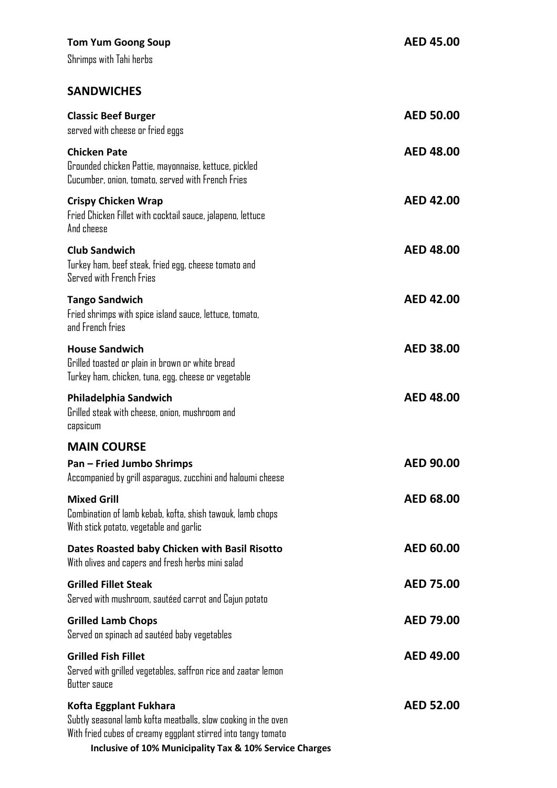| <b>Tom Yum Goong Soup</b><br>Shrimps with Tahi herbs                                                                                                                                                                 | <b>AED 45.00</b> |
|----------------------------------------------------------------------------------------------------------------------------------------------------------------------------------------------------------------------|------------------|
| <b>SANDWICHES</b>                                                                                                                                                                                                    |                  |
| <b>Classic Beef Burger</b><br>served with cheese or fried eggs                                                                                                                                                       | <b>AED 50.00</b> |
| <b>Chicken Pate</b><br>Grounded chicken Pattie, mayonnaise, kettuce, pickled<br>Cucumber, onion, tomato, served with French Fries                                                                                    | <b>AED 48.00</b> |
| <b>Crispy Chicken Wrap</b><br>Fried Chicken Fillet with cocktail sauce, jalapeno, lettuce<br>And cheese                                                                                                              | <b>AED 42.00</b> |
| <b>Club Sandwich</b><br>Turkey ham, beef steak, fried egg, cheese tomato and<br>Served with French Fries                                                                                                             | <b>AED 48.00</b> |
| <b>Tango Sandwich</b><br>Fried shrimps with spice island sauce, lettuce, tomato,<br>and French fries                                                                                                                 | <b>AED 42.00</b> |
| <b>House Sandwich</b><br>Grilled toasted or plain in brown or white bread<br>Turkey ham, chicken, tuna, egg, cheese or vegetable                                                                                     | <b>AED 38.00</b> |
| Philadelphia Sandwich<br>Grilled steak with cheese, onion, mushroom and<br>capsicum                                                                                                                                  | <b>AED 48.00</b> |
| <b>MAIN COURSE</b>                                                                                                                                                                                                   |                  |
| <b>Pan - Fried Jumbo Shrimps</b><br>Accompanied by grill asparagus, zucchini and haloumi cheese                                                                                                                      | <b>AED 90.00</b> |
| <b>Mixed Grill</b><br>Combination of lamb kebab, kofta, shish tawouk, lamb chops<br>With stick potato, vegetable and garlic                                                                                          | <b>AED 68.00</b> |
| Dates Roasted baby Chicken with Basil Risotto<br>With olives and capers and fresh herbs mini salad                                                                                                                   | <b>AED 60.00</b> |
| <b>Grilled Fillet Steak</b><br>Served with mushroom, sautéed carrot and Cajun potato                                                                                                                                 | <b>AED 75.00</b> |
| <b>Grilled Lamb Chops</b><br>Served on spinach ad sautéed baby vegetables                                                                                                                                            | <b>AED 79.00</b> |
| <b>Grilled Fish Fillet</b><br>Served with grilled vegetables, saffron rice and zaatar lemon<br>Butter sauce                                                                                                          | <b>AED 49.00</b> |
| Kofta Eggplant Fukhara<br>Subtly seasonal lamb kofta meatballs, slow cooking in the oven<br>With fried cubes of creamy eggplant stirred into tangy tomato<br>Inclusive of 10% Municipality Tax & 10% Service Charges | <b>AED 52.00</b> |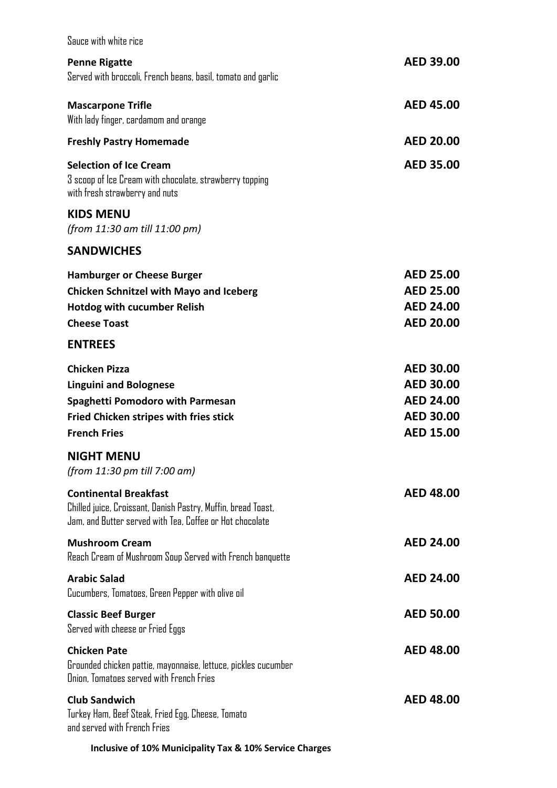| Sauce with white rice                                                                                                                                              |                                                                                                  |
|--------------------------------------------------------------------------------------------------------------------------------------------------------------------|--------------------------------------------------------------------------------------------------|
| <b>Penne Rigatte</b><br>Served with broccoli, French beans, basil, tomato and garlic                                                                               | <b>AED 39.00</b>                                                                                 |
| <b>Mascarpone Trifle</b><br>With lady finger, cardamom and orange                                                                                                  | <b>AED 45.00</b>                                                                                 |
| <b>Freshly Pastry Homemade</b>                                                                                                                                     | <b>AED 20.00</b>                                                                                 |
| <b>Selection of Ice Cream</b><br>3 scoop of Ice Cream with chocolate, strawberry topping<br>with fresh strawberry and nuts                                         | <b>AED 35.00</b>                                                                                 |
| <b>KIDS MENU</b><br>(from 11:30 am till 11:00 pm)                                                                                                                  |                                                                                                  |
| <b>SANDWICHES</b>                                                                                                                                                  |                                                                                                  |
| <b>Hamburger or Cheese Burger</b><br><b>Chicken Schnitzel with Mayo and Iceberg</b><br><b>Hotdog with cucumber Relish</b><br><b>Cheese Toast</b><br><b>ENTREES</b> | <b>AED 25.00</b><br><b>AED 25.00</b><br><b>AED 24.00</b><br><b>AED 20.00</b>                     |
| <b>Chicken Pizza</b><br><b>Linguini and Bolognese</b><br><b>Spaghetti Pomodoro with Parmesan</b><br>Fried Chicken stripes with fries stick<br><b>French Fries</b>  | <b>AED 30.00</b><br><b>AED 30.00</b><br><b>AED 24.00</b><br><b>AED 30.00</b><br><b>AED 15.00</b> |
| <b>NIGHT MENU</b><br>(from 11:30 pm till 7:00 am)                                                                                                                  |                                                                                                  |
| <b>Continental Breakfast</b><br>Chilled juice, Croissant, Danish Pastry, Muffin, bread Toast,<br>Jam, and Butter served with Tea, Coffee or Hot chocolate          | <b>AED 48.00</b>                                                                                 |
| <b>Mushroom Cream</b><br>Reach Cream of Mushroom Soup Served with French banquette                                                                                 | <b>AED 24.00</b>                                                                                 |
| <b>Arabic Salad</b><br>Cucumbers, Tomatoes, Green Pepper with olive oil                                                                                            | <b>AED 24.00</b>                                                                                 |
| <b>Classic Beef Burger</b><br>Served with cheese or Fried Eggs                                                                                                     | <b>AED 50.00</b>                                                                                 |
| <b>Chicken Pate</b><br>Grounded chicken pattie, mayonnaise, lettuce, pickles cucumber<br>Onion, Tomatoes served with French Fries                                  | <b>AED 48.00</b>                                                                                 |
| <b>Club Sandwich</b><br>Turkey Ham, Beef Steak, Fried Egg, Cheese, Tomato<br>and served with French Fries                                                          | <b>AED 48.00</b>                                                                                 |
| Inclusive of 10% Municipality Tax & 10% Service Charges                                                                                                            |                                                                                                  |